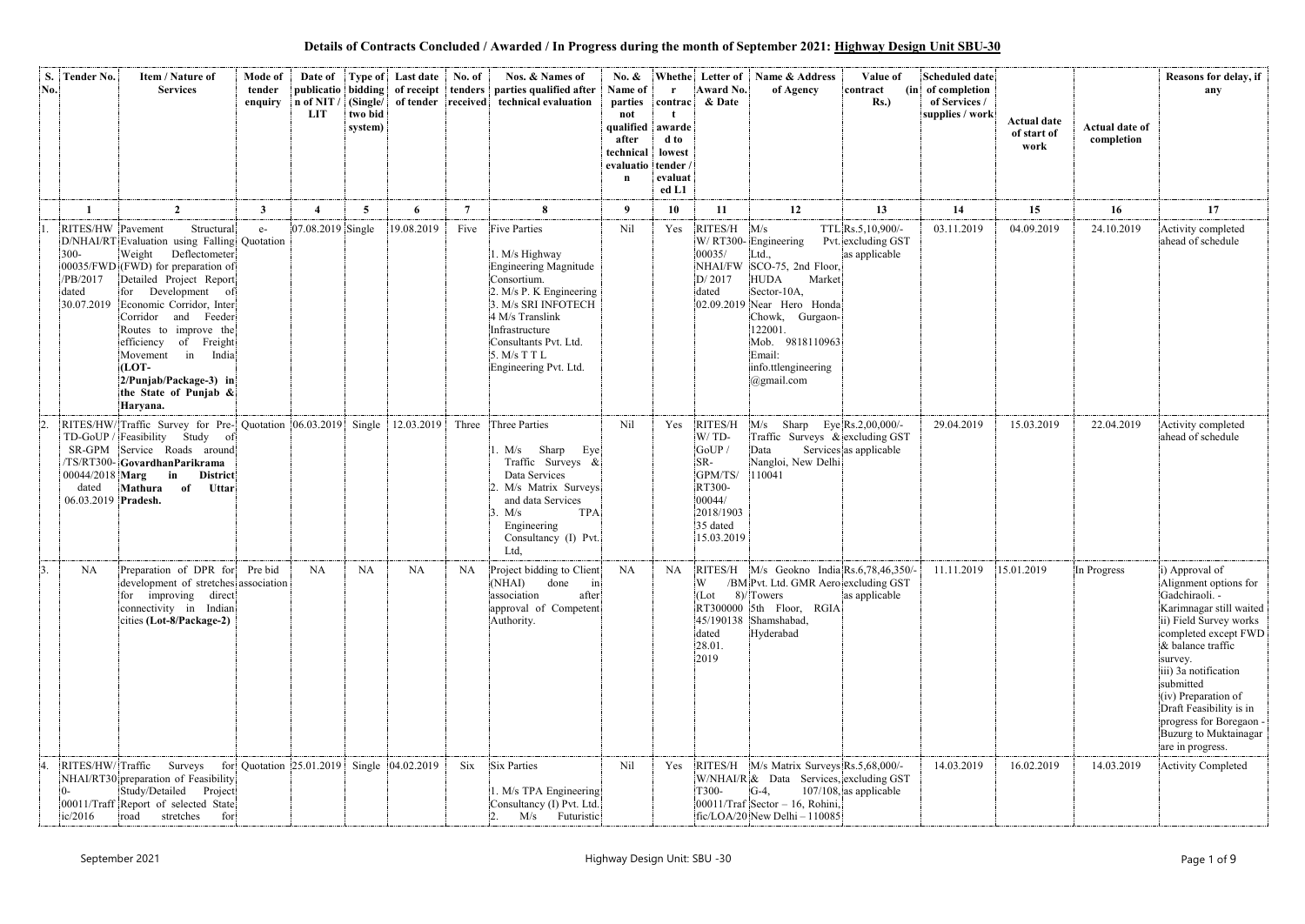**Details of Contracts Concluded / Awarded / In Progress during the month of September 2021: Highway Design Unit SBU-30**

| S.<br>No.        | <b>Tender No.</b>                                               | Item / Nature of<br><b>Services</b>                                                                                                                                                                                                                                                                                                                                               | Mode of<br>tender<br>enquiry | Date of<br>n of NIT /<br><b>LIT</b> | (Single/<br>two bid<br>system) | <b>Type of</b> Last date | No. of                  | Nos. & Names of<br>publicatio bidding of receipt tenders parties qualified after<br>of tender received technical evaluation                                                                                                            | No. &<br>Name of<br>parties<br>not<br>qualified<br>after<br>technical<br>evaluatio<br>n | $\mathbf{r}$<br>contrac<br>awarde<br>d to<br>lowest<br>tender /<br>evaluat<br>ed L1 | Whethe Letter of<br>Award No.<br>& Date                                                                 | Name & Address<br>of Agency                                                                                                                                                                                                             | Value of<br>contract<br>$Rs.$ )                            | <b>Scheduled date</b><br>(in of completion<br>of Services /<br>supplies / work | <b>Actual date</b><br>of start of<br>work | <b>Actual date of</b><br>completion | Reasons for delay, if<br>any                                                                                                                                                                                                                                                                                                          |
|------------------|-----------------------------------------------------------------|-----------------------------------------------------------------------------------------------------------------------------------------------------------------------------------------------------------------------------------------------------------------------------------------------------------------------------------------------------------------------------------|------------------------------|-------------------------------------|--------------------------------|--------------------------|-------------------------|----------------------------------------------------------------------------------------------------------------------------------------------------------------------------------------------------------------------------------------|-----------------------------------------------------------------------------------------|-------------------------------------------------------------------------------------|---------------------------------------------------------------------------------------------------------|-----------------------------------------------------------------------------------------------------------------------------------------------------------------------------------------------------------------------------------------|------------------------------------------------------------|--------------------------------------------------------------------------------|-------------------------------------------|-------------------------------------|---------------------------------------------------------------------------------------------------------------------------------------------------------------------------------------------------------------------------------------------------------------------------------------------------------------------------------------|
|                  |                                                                 | $\overline{2}$                                                                                                                                                                                                                                                                                                                                                                    | $\mathbf{3}$                 |                                     | 5 <sup>5</sup>                 | 6                        | $\overline{7}$          | 8                                                                                                                                                                                                                                      | - 9                                                                                     | <b>10</b>                                                                           | 11                                                                                                      | 12                                                                                                                                                                                                                                      | 13                                                         | 14                                                                             | 15                                        | 16                                  | 17                                                                                                                                                                                                                                                                                                                                    |
|                  | RITES/HW Pavement<br>$300 -$<br>/PB/2017<br>dated<br>30.07.2019 | Structural<br>D/NHAI/RT Evaluation using Falling Quotation<br>Weight<br>Deflectometer<br>00035/FWD (FWD) for preparation of<br>Detailed Project Report<br>for Development of<br>Economic Corridor, Inter<br>Corridor and Feeder<br>Routes to improve the<br>efficiency of Freight<br>Movement in<br>India<br>(LOT-<br>2/Punjab/Package-3) in<br>the State of Punjab &<br>Haryana. | $e-$                         | 07.08.2019 Single                   |                                | 19.08.2019               | Five                    | <b>Five Parties</b><br>1. M/s Highway<br>Engineering Magnitude<br>Consortium.<br>2. M/s P. K Engineering<br>3. M/s SRI INFOTECH<br>4 M/s Translink<br>Infrastructure<br>Consultants Pvt. Ltd.<br>5. M/s T T L<br>Engineering Pvt. Ltd. | Nil                                                                                     | Yes                                                                                 | RITES/H<br>00035/<br>D/2017<br>dated                                                                    | M/s<br>W/RT300-Engineering<br>Ltd.,<br>NHAI/FW SCO-75, 2nd Floor,<br><b>HUDA</b><br>Market<br>Sector-10A,<br>02.09.2019 Near Hero Honda<br>Chowk, Gurgaon-<br>122001.<br>Mob. 9818110963<br>Email:<br>info.ttlengineering<br>@gmail.com | TTL Rs.5, 10, 900/-<br>Pvt. excluding GST<br>as applicable | 03.11.2019                                                                     | 04.09.2019                                | 24.10.2019                          | Activity completed<br>ahead of schedule                                                                                                                                                                                                                                                                                               |
|                  | dated<br>06.03.2019 Pradesh.                                    | RITES/HW/Traffic Survey for Pre- Quotation 06.03.2019 Single<br>TD-GoUP / Feasibility Study<br>of:<br>SR-GPM Service Roads around<br>TS/RT300- GovardhanParikrama<br>$00044/2018$ Marg in<br><b>District</b><br>Mathura of<br><b>Uttar</b>                                                                                                                                        |                              |                                     |                                | 12.03.2019               | Three                   | Three Parties<br>Sharp<br>Eye<br>1. M/s<br>Traffic Surveys &<br>Data Services<br>2. M/s Matrix Surveys<br>and data Services<br><b>TPA</b><br>3. M/s<br>Engineering<br>Consultancy (I) Pvt.<br>Ltd,                                     | Nil                                                                                     | Yes                                                                                 | RITES/H<br>W/TD-<br>GoUP<br>$SR-$<br>GPM/TS/<br>RT300-<br>00044/<br>2018/1903<br>35 dated<br>15.03.2019 | M/s<br>Traffic Surveys & excluding GST<br>Data<br>Nangloi, New Delhi<br>110041                                                                                                                                                          | Sharp Eye Rs.2,00,000/-<br>Services as applicable          | 29.04.2019                                                                     | 15.03.2019                                | 22.04.2019                          | Activity completed<br>ahead of schedule                                                                                                                                                                                                                                                                                               |
| $\overline{3}$ . | NA                                                              | Preparation of DPR for Pre bid<br>development of stretches association<br>for improving direct<br>connectivity in Indian<br>$cities (Lot-8/Package-2)$                                                                                                                                                                                                                            |                              | <b>NA</b>                           | NA                             | <b>NA</b>                | NA                      | Project bidding to Client<br>(NHAI)<br>done<br>$\left  \text{in} \right $<br>association<br>after<br>approval of Competent<br>Authority.                                                                                               | NA                                                                                      | <b>NA</b>                                                                           | W<br>(Lot<br>dated<br>28.01.<br>2019                                                                    | RITES/H M/s Geokno India Rs.6,78,46,350/-<br>/BM Pvt. Ltd. GMR Aero excluding GST<br>8)/Towers<br>RT300000 5th Floor, RGIA<br>45/190138 Shamshabad,<br>Hyderabad                                                                        | as applicable                                              | 11.11.2019                                                                     | 15.01.2019                                | In Progress                         | i) Approval of<br>Alignment options for<br>Gadchiraoli. -<br>Karimnagar still waited<br>ii) Field Survey works<br>completed except FWD<br>& balance traffic<br>survey.<br>iii) 3a notification<br>submitted<br>(iv) Preparation of<br>Draft Feasibility is in<br>progress for Boregaon -<br>Buzurg to Muktainagar<br>are in progress. |
|                  | ic/2016                                                         | RITES/HW/Traffic Surveys for Quotation 25.01.2019 Single 04.02.2019<br>NHAI/RT30 preparation of Feasibility<br>Study/Detailed Project<br>00011/Traff Report of selected State<br>stretches<br>road<br>for                                                                                                                                                                         |                              |                                     |                                |                          | $\overline{\text{Six}}$ | Six Parties<br>1. M/s TPA Engineering<br>Consultancy (I) Pvt. Ltd.<br>M/s Futuristic                                                                                                                                                   | Nil                                                                                     | Yes                                                                                 | T300-                                                                                                   | RITES/H M/s Matrix Surveys Rs.5,68,000/-<br>W/NHAI/R & Data Services, excluding GST<br>$G-4$ ,<br>$ 00011/T \text{raf} $ Sector - 16, Rohini,<br>$fic/LOA/20$ New Delhi - 110085                                                        | $107/108$ , as applicable                                  | 14.03.2019                                                                     | 16.02.2019                                | 14.03.2019                          | <b>Activity Completed</b>                                                                                                                                                                                                                                                                                                             |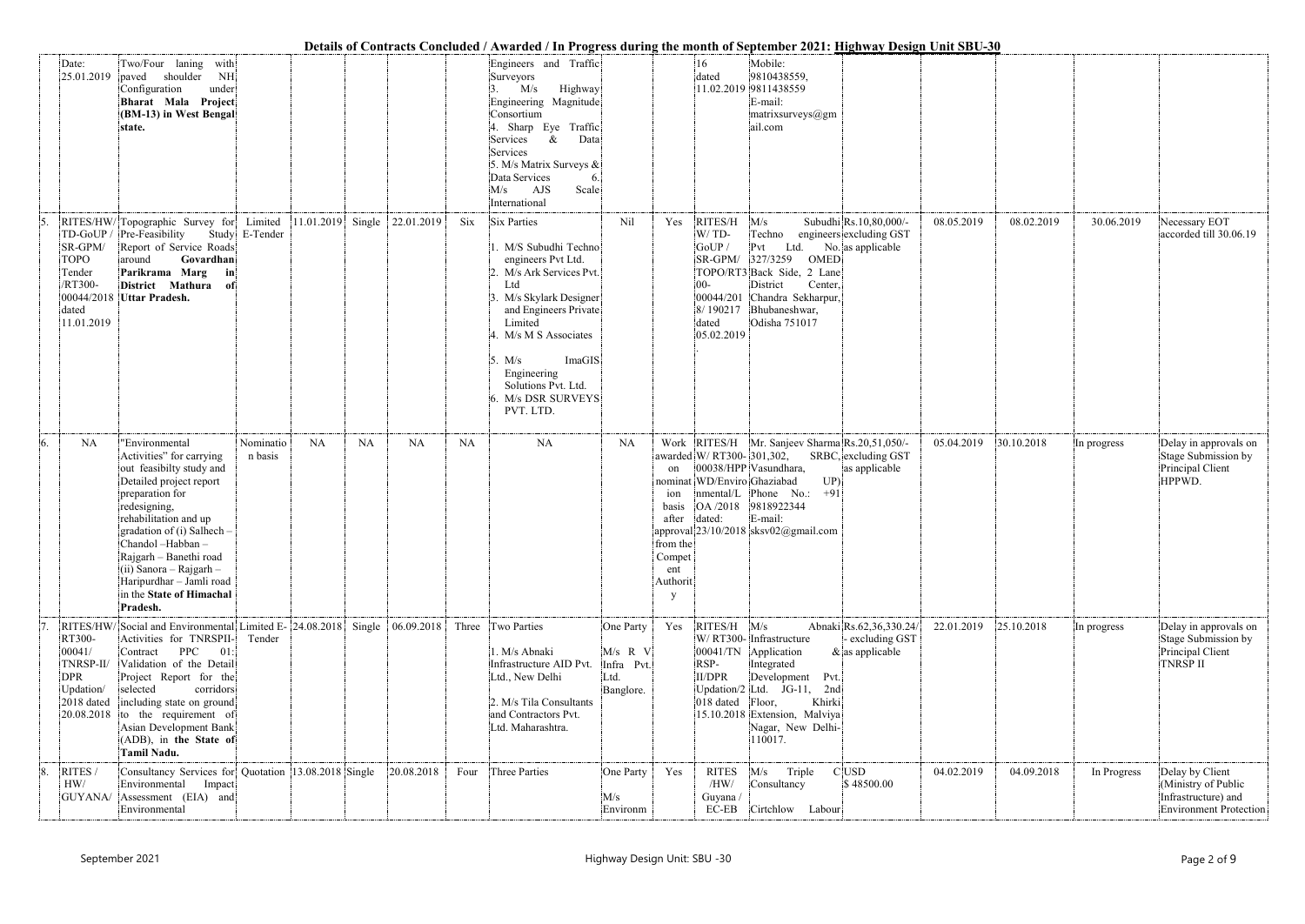|    |                                                                                |                                                                                                                                                                                                                                                                                                                                            |                      |                                      |            |             | Details of Contracts Concluded / Awarded / In Progress during the month of September 2021: Highway Design Unit SBU-30                                                                                                                                                                                 |                                                           |                                                                                      |                                                                                 |                                                                                                                                                                                           |                                                                        |            |            |             |                                                                                         |
|----|--------------------------------------------------------------------------------|--------------------------------------------------------------------------------------------------------------------------------------------------------------------------------------------------------------------------------------------------------------------------------------------------------------------------------------------|----------------------|--------------------------------------|------------|-------------|-------------------------------------------------------------------------------------------------------------------------------------------------------------------------------------------------------------------------------------------------------------------------------------------------------|-----------------------------------------------------------|--------------------------------------------------------------------------------------|---------------------------------------------------------------------------------|-------------------------------------------------------------------------------------------------------------------------------------------------------------------------------------------|------------------------------------------------------------------------|------------|------------|-------------|-----------------------------------------------------------------------------------------|
|    | Date:<br>25.01.2019                                                            | Two/Four laning with<br>shoulder<br>NH<br>paved<br>Configuration<br>under<br>Bharat Mala Project<br>(BM-13) in West Bengal<br>state.                                                                                                                                                                                                       |                      |                                      |            |             | Engineers and Traffic<br>Surveyors<br>M/s<br>Highway<br>Engineering Magnitude<br>Consortium<br>4. Sharp Eye Traffic<br>Data<br>&<br>Services<br>Services<br>5. M/s Matrix Surveys &<br>Data Services<br>Scale<br>AJS<br>M/s<br>International                                                          |                                                           |                                                                                      | 16<br>dated                                                                     | Mobile:<br>9810438559.<br>11.02.2019 9811438559<br>E-mail:<br>$\text{matrix}$ aurveys $\textcircled{a}$ gm<br>ail.com                                                                     |                                                                        |            |            |             |                                                                                         |
|    | TD-GoUP/<br>SR-GPM/<br><b>TOPO</b><br>Tender<br>/RT300-<br>dated<br>11.01.2019 | RITES/HW/Topographic Survey for Limited<br>Pre-Feasibility<br>Report of Service Roads<br>around<br>Govardhan<br>Parikrama Marg<br>in<br>District Mathura of<br>00044/2018 Uttar Pradesh.                                                                                                                                                   | Study E-Tender       | $ 11.01.2019 $ Single $ 22.01.2019 $ |            | $\rm {Si}x$ | <b>Six Parties</b><br>1. M/S Subudhi Techno<br>engineers Pvt Ltd.<br>2. M/s Ark Services Pvt.<br>L <sub>td</sub><br>3. M/s Skylark Designer<br>and Engineers Private<br>Limited<br>4. M/s M S Associates<br>ImaGIS<br>5. M/s<br>Engineering<br>Solutions Pvt. Ltd.<br>6. M/s DSR SURVEYS<br>PVT. LTD. | Nil                                                       | Yes                                                                                  | RITES/H<br>W/TD-<br>GoUP /<br>SR-GPM/ 327/3259<br>$00 -$<br>dated<br>05.02.2019 | M/s<br>Techno<br>Ltd.<br>Pvt<br>OMED<br>TOPO/RT3 Back Side, 2 Lane<br>District<br>Center,<br>00044/201 Chandra Sekharpur,<br>8/190217 Bhubaneshwar,<br>Odisha 751017                      | Subudhi Rs.10,80,000/-<br>engineers excluding GST<br>No. as applicable | 08.05.2019 | 08.02.2019 | 30.06.2019  | Necessary EOT<br>accorded till 30.06.19                                                 |
| 6. | <b>NA</b>                                                                      | "Environmental<br>Activities" for carrying<br>out feasibilty study and<br>Detailed project report<br>preparation for<br>redesigning,<br>rehabilitation and up<br>gradation of (i) Salhech -<br>Chandol -Habban -<br>Rajgarh - Banethi road<br>$(i)$ Sanora – Rajgarh –<br>Haripurdhar - Jamli road<br>in the State of Himachal<br>Pradesh. | Nominatio<br>n basis | <b>NA</b><br><b>NA</b>               | <b>NA</b>  | <b>NA</b>   | NA                                                                                                                                                                                                                                                                                                    | <b>NA</b>                                                 | on<br>10n<br>basis<br>after<br>from the<br>Compet<br>ent<br>Authorit<br><sup>V</sup> | awarded W/ RT300-301,302,<br>nominat WD/Enviro Ghaziabad<br>OA /2018<br>dated:  | Work RITES/H Mr. Sanjeev Sharma Rs.20,51,050/-<br>00038/HPP Vasundhara,<br>UP<br>nmental/L Phone No.:<br>$+91$<br>9818922344<br>E-mail:<br>approval 23/10/2018 sksv02@gmail.com           | SRBC, excluding GST<br>as applicable                                   | 05.04.2019 | 30.10.2018 | In progress | Delay in approvals on<br>Stage Submission by<br>Principal Client<br>HPPWD.              |
|    | RT300-<br>00041/<br>TNRSP-II/<br>DPR<br>Updation/<br>2018 dated<br>20.08.2018  | RITES/HW/Social and Environmental Limited E- 24.08.2018 Single 06.09.2018<br>Activities for TNRSPII-<br>Contract PPC<br>01:<br>Validation of the Detail<br>Project Report for the<br>selected<br>corridors<br>including state on ground<br>to the requirement of<br>Asian Development Bank<br>(ADB), in the State of<br><b>Tamil Nadu.</b> | Tender               |                                      |            |             | Three Two Parties<br>1. M/s Abnaki<br>Infrastructure AID Pvt.<br>Ltd., New Delhi<br>2. M/s Tila Consultants<br>and Contractors Pvt.<br>Ltd. Maharashtra.                                                                                                                                              | One Party<br>$M/s$ R V<br>Infra Pvt.<br>Ltd.<br>Banglore. | Yes                                                                                  | $RITES/H$ $M/s$<br>RSP-<br><b>II/DPR</b><br>018 dated Floor,                    | W/RT300-Infrastructure<br>00041/TN Application<br>Integrated<br>Development Pvt.<br>Updation/2 Ltd. JG-11, 2nd<br>Khirki<br>15.10.2018 Extension, Malviya<br>Nagar, New Delhi-<br>110017. | Abnaki Rs.62,36,330.24/<br>- excluding GST<br>$\&$ as applicable       | 22.01.2019 | 25.10.2018 | In progress | Delay in approvals on<br>Stage Submission by<br>Principal Client<br><b>TNRSP II</b>     |
| 8. | RITES /<br>HW/                                                                 | Consultancy Services for Quotation 13.08.2018 Single<br>Environmental Impact<br>GUYANA/ Assessment (EIA) and<br>Environmental                                                                                                                                                                                                              |                      |                                      | 20.08.2018 | Four        | Three Parties                                                                                                                                                                                                                                                                                         | One Party<br>M/s<br>Environm                              | Yes                                                                                  | <b>RITES</b><br>/HW/<br>Guyana /<br>$EC-EB$                                     | M/s<br>Triple<br>Consultancy<br>Cirtchlow Labour                                                                                                                                          | $C$ USD<br>\$48500.00                                                  | 04.02.2019 | 04.09.2018 | In Progress | Delay by Client<br>(Ministry of Public<br>Infrastructure) and<br>Environment Protection |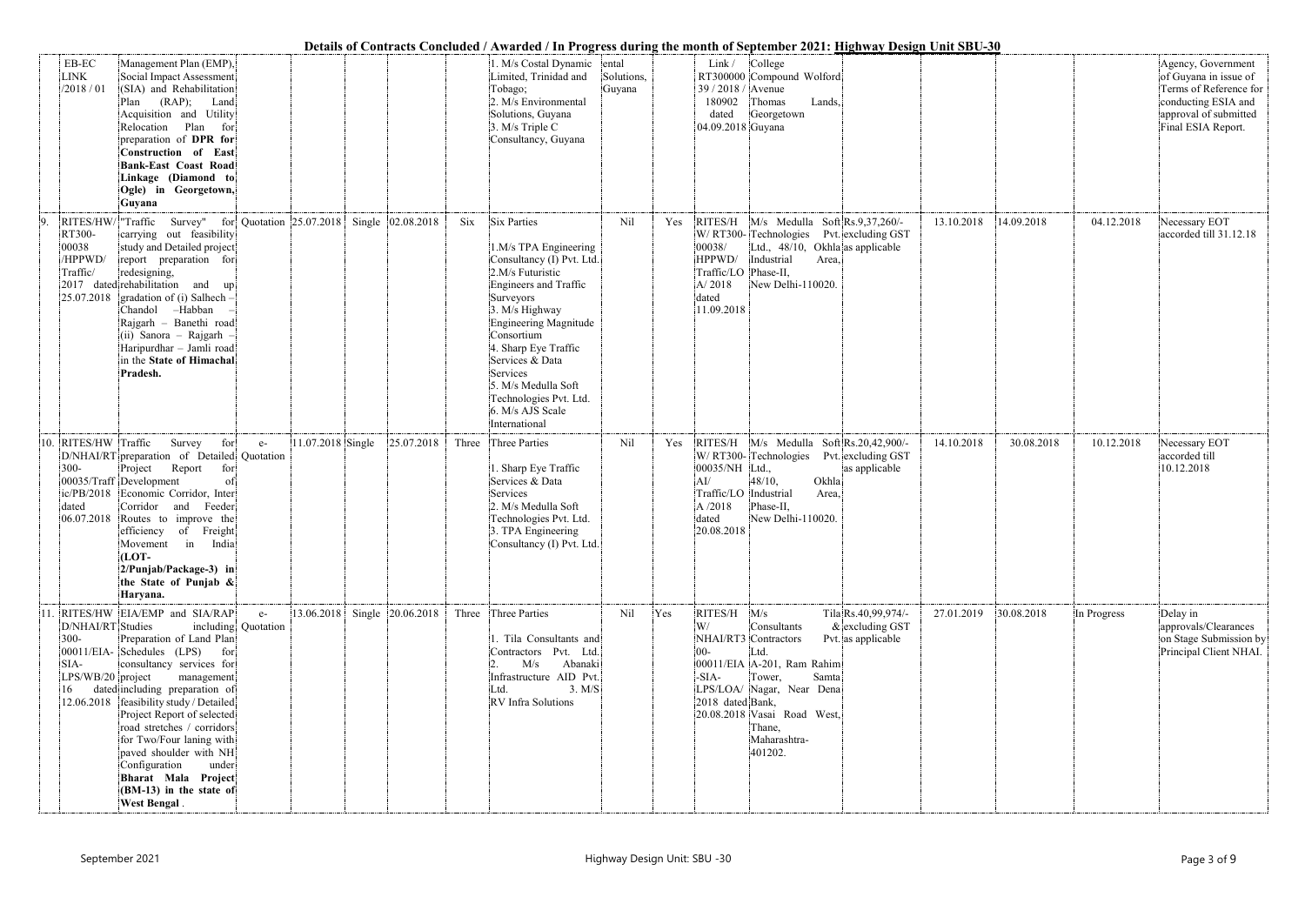|                                                                 |                                                                                                                                                                                                                                                                                                                                                                                                                                                 |                             |                              |            |       |                                                                                                                                                                                                                                                                                                                                          |                      |     |                                                                                                                                                                                                                                                    | Details of Contracts Concluded / Awarded / In Progress during the month of September 2021: <u>Highway Design Unit SBU-30</u>                        |            |            |             |                                                                                                                                             |
|-----------------------------------------------------------------|-------------------------------------------------------------------------------------------------------------------------------------------------------------------------------------------------------------------------------------------------------------------------------------------------------------------------------------------------------------------------------------------------------------------------------------------------|-----------------------------|------------------------------|------------|-------|------------------------------------------------------------------------------------------------------------------------------------------------------------------------------------------------------------------------------------------------------------------------------------------------------------------------------------------|----------------------|-----|----------------------------------------------------------------------------------------------------------------------------------------------------------------------------------------------------------------------------------------------------|-----------------------------------------------------------------------------------------------------------------------------------------------------|------------|------------|-------------|---------------------------------------------------------------------------------------------------------------------------------------------|
| EB-EC<br><b>LINK</b><br>/2018 / 01                              | Management Plan (EMP),<br>Social Impact Assessment<br>(SIA) and Rehabilitation<br>$(RAP)$ ; Land<br>Plan<br>Acquisition and Utility<br>Relocation Plan<br>for<br>preparation of DPR for<br><b>Construction of East</b><br><b>Bank-East Coast Road</b><br>Linkage (Diamond to<br>Ogle) in Georgetown,<br>Guyana                                                                                                                                  |                             |                              |            |       | 1. M/s Costal Dynamic ental<br>Limited, Trinidad and<br>Tobago;<br>2. M/s Environmental<br>Solutions, Guyana<br>3. M/s Triple C<br>Consultancy, Guyana                                                                                                                                                                                   | Solutions,<br>Guyana |     | Link/<br>College<br>RT300000 Compound Wolford<br>39 / 2018 / Avenue<br>180902<br>Thomas<br>dated<br>Georgetown<br>04.09.2018 Guyana                                                                                                                | Lands,                                                                                                                                              |            |            |             | Agency, Government<br>of Guyana in issue of<br>Terms of Reference for<br>conducting ESIA and<br>approval of submitted<br>Final ESIA Report. |
| 9.<br>RT300-<br>00038<br>/HPPWD/<br>Traffic/                    | RITES/HW/ Traffic Survey" for Quotation 25.07.2018 Single 02.08.2018<br>carrying out feasibility<br>study and Detailed project<br>report preparation for<br>redesigning,<br>$ 2017$ dated rehabilitation and up<br>$25.07.2018$ gradation of (i) Salhech –<br>Chandol -Habban<br>Rajgarh - Banethi road<br>(ii) Sanora - Rajgarh<br>Haripurdhar - Jamli road<br>in the State of Himachal<br>Pradesh.                                            |                             |                              |            | Six   | Six Parties<br>1.M/s TPA Engineering<br>Consultancy (I) Pvt. Ltd.<br>2.M/s Futuristic<br>Engineers and Traffic<br>Surveyors<br>3. M/s Highway<br><b>Engineering Magnitude</b><br>Consortium<br>4. Sharp Eye Traffic<br>Services & Data<br>Services<br>5. M/s Medulla Soft<br>Technologies Pvt. Ltd.<br>6. M/s AJS Scale<br>International | Nil                  | Yes | 00038/<br>HPPWD/<br>Industrial<br>Traffic/LO Phase-II,<br>A/2018<br>dated<br>11.09.2018                                                                                                                                                            | RITES/H M/s Medulla Soft Rs.9,37,260/-<br>W/RT300-Technologies Pvt. excluding GST<br>Ltd., 48/10, Okhla as applicable<br>Area,<br>New Delhi-110020. | 13.10.2018 | 14.09.2018 | 04.12.2018  | Necessary EOT<br>accorded till 31.12.18                                                                                                     |
| RITES/HW Traffic<br>10<br>$300 -$<br>dated<br>06.07.2018        | Survey<br>for<br>D/NHAI/RT preparation of Detailed Quotation<br>Report<br>Project<br>for<br>00035/Traff Development<br>of<br>ic/PB/2018 Economic Corridor, Inter<br>Corridor<br>Feeder<br>and<br>Routes to improve the<br>efficiency of Freight<br>Movement in India<br>(LOT-<br>$2/P$ unjab/Package-3) in<br>the State of Punjab &<br>Haryana.                                                                                                 | $e-$                        | 11.07.2018 Single            | 25.07.2018 | Three | Three Parties<br>1. Sharp Eye Traffic<br>Services & Data<br>Services<br>2. M/s Medulla Soft<br>Technologies Pvt. Ltd.<br>3. TPA Engineering<br>Consultancy (I) Pvt. Ltd.                                                                                                                                                                 | Nil                  | Yes | W/RT300-Technologies<br>00035/NH Ltd.,<br>48/10,<br>AI/<br>Traffic/LO<br>Industrial<br>Phase-II,<br>A/2018<br>dated<br>20.08.2018                                                                                                                  | RITES/H M/s Medulla Soft Rs.20,42,900/-<br>Pvt. excluding GST<br>as applicable<br>Okhla<br>Area,<br>New Delhi-110020                                | 14.10.2018 | 30.08.2018 | 10.12.2018  | Necessary EOT<br>accorded till<br>10.12.2018                                                                                                |
| 11<br>D/NHAI/RT Studies<br>$300 -$<br>SIA-<br>LPS/WB/20 project | RITES/HW EIA/EMP and SIA/RAP<br>Preparation of Land Plan<br>$ 00011/EIA-$ Schedules (LPS)<br>for<br>consultancy services for<br>management<br>dated including preparation of<br>12.06.2018   feasibility study / Detailed<br>Project Report of selected<br>road stretches / corridors<br>for Two/Four laning with<br>paved shoulder with NH<br>Configuration<br>under<br>Bharat Mala Project<br>(BM-13) in the state of<br><b>West Bengal</b> . | $e-$<br>including Quotation | 13.06.2018 Single 20.06.2018 |            |       | Three Three Parties<br>1. Tila Consultants and<br>Contractors Pvt. Ltd.<br>Abanaki<br>M/s<br>Infrastructure AID Pvt.<br>3. M/S<br>Ltd.<br>RV Infra Solutions                                                                                                                                                                             | Nil                  | Yes | RITES/H M/s<br>Consultants<br>W/<br>NHAI/RT3 Contractors<br>$00 -$<br>Ltd.<br>00011/EIA A-201, Ram Rahim<br>Tower,<br>$-SIA-$<br>LPS/LOA/ Nagar, Near Dena<br>2018 dated Bank,<br>20.08.2018 Vasai Road West,<br>Thane,<br>Maharashtra-<br>401202. | Tila Rs.40,99,974/-<br>$&$ excluding GST<br>Pvt. as applicable<br>Samta                                                                             | 27.01.2019 | 30.08.2018 | In Progress | Delay in<br>approvals/Clearances<br>on Stage Submission by<br>Principal Client NHAI.                                                        |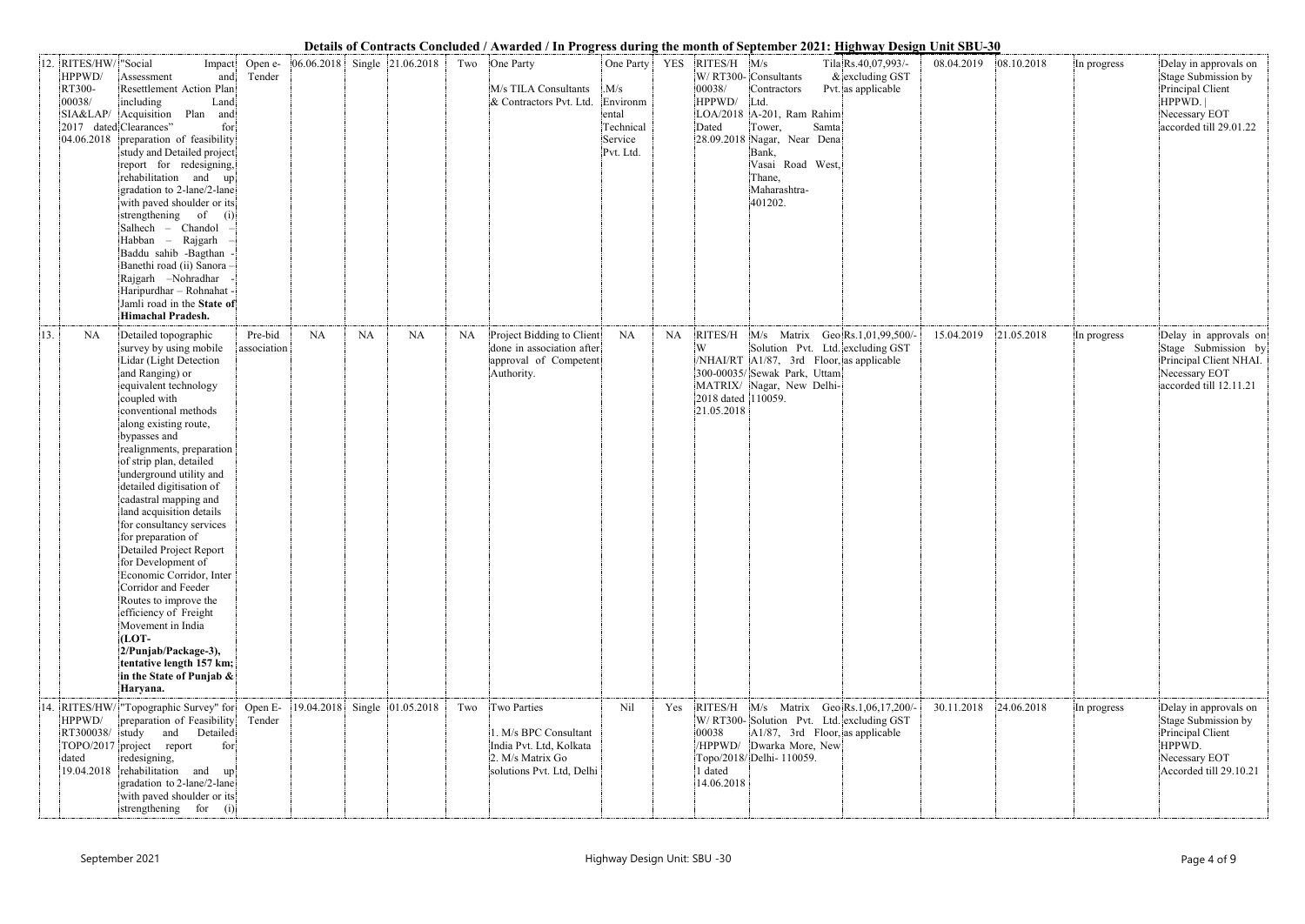|     |                                                     |                                                                                                                                                                                                                                                                                                                                                                                                                                                                                                                                                                                                                                                                                                               |                        |            |    |                              |     | Details of Contracts Concidued / Awarded / In Frogress during the month of September 2021. <u>Inghway Design Onit SDO-50</u> |                                                                |           |                                                              |                                                                                                                                                                                                   |                                                                |            |            |             |                                                                                                                       |
|-----|-----------------------------------------------------|---------------------------------------------------------------------------------------------------------------------------------------------------------------------------------------------------------------------------------------------------------------------------------------------------------------------------------------------------------------------------------------------------------------------------------------------------------------------------------------------------------------------------------------------------------------------------------------------------------------------------------------------------------------------------------------------------------------|------------------------|------------|----|------------------------------|-----|------------------------------------------------------------------------------------------------------------------------------|----------------------------------------------------------------|-----------|--------------------------------------------------------------|---------------------------------------------------------------------------------------------------------------------------------------------------------------------------------------------------|----------------------------------------------------------------|------------|------------|-------------|-----------------------------------------------------------------------------------------------------------------------|
|     | 12. RITES/HW/ "Social<br>HPPWD/<br>RT300-<br>00038/ | Impact<br>Assessment<br>and<br>Resettlement Action Plan<br>including<br>Land<br>SIA&LAP/ Acquisition Plan<br>and<br>2017 dated Clearances"<br>for<br>04.06.2018 preparation of feasibility<br>study and Detailed project<br>report for redesigning,<br>rehabilitation and up<br>gradation to 2-lane/2-lane<br>with paved shoulder or its<br>strengthening of<br>(i)<br>Salhech - Chandol<br>Habban - Rajgarh<br>Baddu sahib -Bagthan<br>Banethi road (ii) Sanora -<br>Rajgarh -Nohradhar<br>Haripurdhar - Rohnahat -<br>Jamli road in the State of<br>Himachal Pradesh.                                                                                                                                       | Open e-<br>Tender      |            |    | 06.06.2018 Single 21.06.2018 |     | Two One Party<br>M/s TILA Consultants<br>& Contractors Pvt. Ltd.                                                             | .M/s<br>Environm<br>ental<br>Technical<br>Service<br>Pvt. Ltd. |           | One Party   YES   RITES/H   M/s<br>00038/<br>HPPWD/<br>Dated | W/RT300-Consultants<br>Contractors<br>Ltd.<br>LOA/2018   A-201, Ram Rahim<br>Tower,<br>Samta<br>$ 28.09.2018 $ Nagar, Near Dena<br>Bank,<br>Vasai Road West,<br>Thane,<br>Maharashtra-<br>401202. | Tila Rs.40,07,993/-<br>$&$ excluding GST<br>Pvt. as applicable | 08.04.2019 | 08.10.2018 | In progress | Delay in approvals on<br>Stage Submission by<br>Principal Client<br>HPPWD.<br>Necessary EOT<br>accorded till 29.01.22 |
| 13. | <b>NA</b>                                           | Detailed topographic<br>survey by using mobile<br>Lidar (Light Detection<br>and Ranging) or<br>equivalent technology<br>coupled with<br>conventional methods<br>along existing route,<br>bypasses and<br>realignments, preparation<br>of strip plan, detailed<br>underground utility and<br>detailed digitisation of<br>cadastral mapping and<br>land acquisition details<br>for consultancy services<br>for preparation of<br>Detailed Project Report<br>for Development of<br>Economic Corridor, Inter<br>Corridor and Feeder<br>Routes to improve the<br>efficiency of Freight<br>Movement in India<br>$[LOT-$<br>2/Punjab/Package-3),<br>tentative length 157 km;<br>in the State of Punjab &<br>Haryana. | Pre-bid<br>association | NA         | NA | NA                           | NA  | Project Bidding to Client<br>done in association after<br>approval of Competent<br>Authority.                                | NA                                                             | <b>NA</b> | W<br>2018 dated 110059.<br>21.05.2018                        | RITES/H M/s Matrix Geo Rs.1,01,99,500/-<br>Solution Pvt. Ltd. excluding GST<br>$/NHAI/RT$ $A1/87$ , 3rd Floor, as applicable<br>300-00035/Sewak Park, Uttam<br>MATRIX/ Nagar, New Delhi-          |                                                                | 15.04.2019 | 21.05.2018 | In progress | Delay in approvals on<br>Stage Submission by<br>Principal Client NHAI.<br>Necessary EOT<br>accorded till 12.11.21     |
|     | HPPWD/<br>RT300038/ study<br>dated                  | 14. RITES/HW/ "Topographic Survey" for Open E-<br>preparation of Feasibility<br>and Detailed<br>TOPO/2017 project report<br>for<br>redesigning,<br>19.04.2018 rehabilitation and up<br>gradation to 2-lane/2-lane<br>with paved shoulder or its<br>strengthening for (i)                                                                                                                                                                                                                                                                                                                                                                                                                                      | Tender                 | 19.04.2018 |    | Single 01.05.2018            | Two | Two Parties<br>1. M/s BPC Consultant<br>India Pvt. Ltd, Kolkata<br>2. M/s Matrix Go<br>solutions Pvt. Ltd, Delhi             | Nil                                                            | Yes       | 00038<br>1 dated<br>14.06.2018                               | RITES/H M/s Matrix Geo Rs.1,06,17,200/-<br>W/RT300-Solution Pvt. Ltd. excluding GST<br>$A1/87$ , 3rd Floor, as applicable<br>/HPPWD/ Dwarka More, New<br>Topo/2018/Delhi-110059.                  |                                                                | 30.11.2018 | 24.06.2018 | In progress | Delay in approvals on<br>Stage Submission by<br>Principal Client<br>HPPWD.<br>Necessary EOT<br>Accorded till 29.10.21 |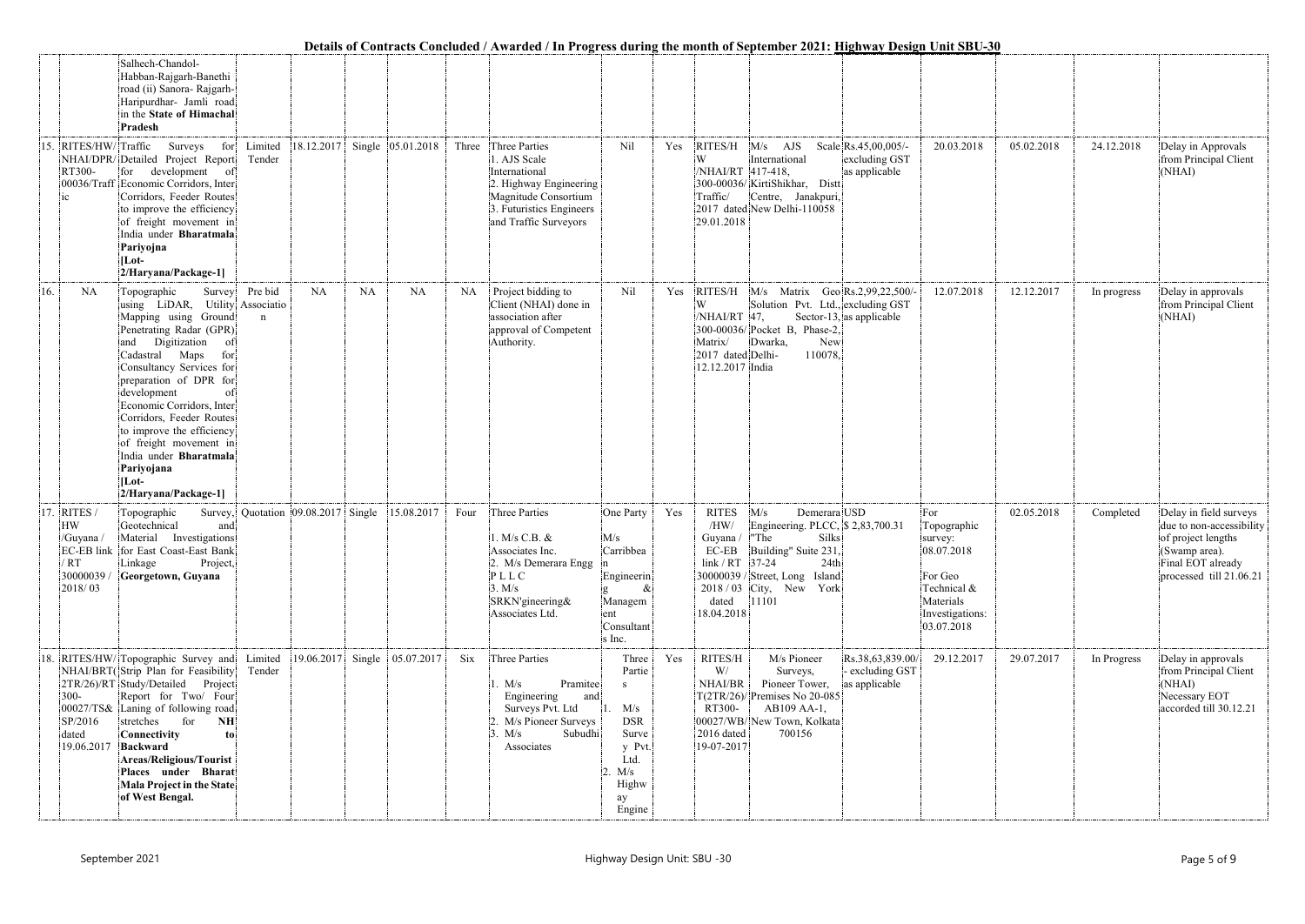|     |                                                                                                                                                                                                                                                                                                                                                                                                                                                 |                        |                                     |    |                                |       | Details of Contracts Concluded / Awarded / In Frogress during the month of September 2021, Highway Design Onit                                        |                                                                                                      |     |                                                                                  |                                                                                                                                                                                       |                                                        |                                                                                                                     |            |             |                                                                                                                                           |
|-----|-------------------------------------------------------------------------------------------------------------------------------------------------------------------------------------------------------------------------------------------------------------------------------------------------------------------------------------------------------------------------------------------------------------------------------------------------|------------------------|-------------------------------------|----|--------------------------------|-------|-------------------------------------------------------------------------------------------------------------------------------------------------------|------------------------------------------------------------------------------------------------------|-----|----------------------------------------------------------------------------------|---------------------------------------------------------------------------------------------------------------------------------------------------------------------------------------|--------------------------------------------------------|---------------------------------------------------------------------------------------------------------------------|------------|-------------|-------------------------------------------------------------------------------------------------------------------------------------------|
|     | Salhech-Chandol-<br>Habban-Rajgarh-Banethi<br>road (ii) Sanora- Rajgarh-<br>Haripurdhar- Jamli road<br>in the State of Himachal<br>Pradesh                                                                                                                                                                                                                                                                                                      |                        |                                     |    |                                |       |                                                                                                                                                       |                                                                                                      |     |                                                                                  |                                                                                                                                                                                       |                                                        |                                                                                                                     |            |             |                                                                                                                                           |
|     | 15. RITES/HW/ Traffic<br>Surveys<br>for<br>NHAI/DPR/Detailed Project Report<br>RT300-<br>development of<br>for<br>00036/Traff Economic Corridors, Inter<br>Corridors, Feeder Routes<br>$i$ c<br>to improve the efficiency<br>of freight movement in<br>India under Bharatmala<br>Pariyojna<br>$[Lot-$<br>2/Haryana/Package-1]                                                                                                                   | Limited<br>Tender      |                                     |    | 18.12.2017 Single 05.01.2018   | Three | Three Parties<br>1. AJS Scale<br>International<br>2. Highway Engineering<br>Magnitude Consortium<br>3. Futuristics Engineers<br>and Traffic Surveyors | Nil                                                                                                  | Yes | RITES/H<br>W<br>/NHAI/RT 417-418,<br>Traffic/<br>29.01.2018                      | $M/s$ AJS<br>International<br>300-00036/KirtiShikhar, Distt<br>Centre, Janakpuri,<br>2017 dated New Delhi-110058                                                                      | Scale Rs.45,00,005/-<br>excluding GST<br>as applicable | 20.03.2018                                                                                                          | 05.02.2018 | 24.12.2018  | Delay in Approvals<br>from Principal Client<br>(NHAI)                                                                                     |
| 16. | NA<br>Topographic<br>Survey<br>using LiDAR, Utility Associatio<br>Mapping using Ground<br>Penetrating Radar (GPR)<br>Digitization<br>and<br>- of<br>Cadastral Maps<br>for<br>Consultancy Services for<br>preparation of DPR for<br>development<br>of<br>Economic Corridors, Inter<br>Corridors, Feeder Routes<br>to improve the efficiency<br>of freight movement in<br>India under Bharatmala<br>Pariyojana<br>$[Lot-$<br>2/Haryana/Package-1] | Pre bid<br>$\mathbf n$ | <b>NA</b>                           | NA | <b>NA</b>                      | NA    | Project bidding to<br>Client (NHAI) done in<br>association after<br>approval of Competent<br>Authority.                                               | Nil                                                                                                  | Yes | RITES/H<br>/NHAI/RT 47,<br>Matrix/<br>2017 dated Delhi-<br>12.12.2017 India      | M/s Matrix Geo Rs.2,99,22,500/<br>Solution Pvt. Ltd., excluding GST<br>300-00036/ Pocket B, Phase-2,<br>Dwarka,<br>New<br>110078,                                                     | Sector-13, as applicable                               | 12.07.2018                                                                                                          | 12.12.2017 | In progress | Delay in approvals<br>from Principal Client<br>(NHAI)                                                                                     |
|     | 17. RITES /<br>Topographic<br><b>HW</b><br>Geotechnical<br>and<br>/Guyana / Material Investigations<br>EC-EB link for East Coast-East Bank<br>/ RT<br>Linkage<br>Project,<br>30000039<br>Georgetown, Guyana<br>2018/03                                                                                                                                                                                                                          |                        | Survey, Quotation 09.08.2017 Single |    | 15.08.2017                     | Four  | Three Parties<br>1. M/s C.B. &<br>Associates Inc.<br>2. M/s Demerara Engg<br>PLLC<br>3. M/s<br>SRKN'gineering&<br>Associates Ltd.                     | One Party<br>M/s<br>Carribbea<br>Engineerin<br>Managem<br>ent<br>Consultant<br>s Inc.                | Yes | <b>RITES</b><br>/HW/<br>Guyana / The<br>$link / RT$ 37-24<br>dated<br>18.04.2018 | M/s<br>Demerara USD<br>Engineering. PLCC, \$2,83,700.31<br><b>Silks</b><br>EC-EB Building" Suite 231,<br>24th<br>30000039 / Street, Long Island<br>$2018/03$ City, New York<br> 11101 |                                                        | For<br>Topographic<br>survey:<br>08.07.2018<br>For Geo<br>Technical &<br>Materials<br>Investigations:<br>03.07.2018 | 02.05.2018 | Completed   | Delay in field surveys<br>due to non-accessibility<br>of project lengths<br>(Swamp area).<br>Final EOT already<br>processed till 21.06.21 |
|     | 18. RITES/HW/Topographic Survey and<br>NHAI/BRT(Strip Plan for Feasibility<br>2TR/26)/RT Study/Detailed Project<br>Report for Two/ Four<br>300-<br>00027/TS& Laning of following road<br>SP/2016<br>stretches for<br>NH<br>dated<br>Connectivity<br>to<br>19.06.2017<br><b>Backward</b><br><b>Areas/Religious/Tourist</b><br>Places under Bharat<br><b>Mala Project in the State</b><br>of West Bengal.                                         | Limited<br>Tender      |                                     |    | 19.06.2017 Single $05.07.2017$ | Six   | Three Parties<br>Pramitee<br>1. M/s<br>Engineering<br>and<br>Surveys Pvt. Ltd<br>2. M/s Pioneer Surveys<br>Subudhi<br>3. M/s<br>Associates            | Three<br>Partie<br>S<br>M/s<br><b>DSR</b><br>Surve<br>y Pvt.<br>Ltd.<br>M/s<br>Highw<br>ay<br>Engine | Yes | RITES/H<br>W/<br>NHAI/BR<br>RT300-<br>2016 dated<br>19-07-2017                   | M/s Pioneer<br>Surveys,<br>Pioneer Tower,<br>$T(2TR/26)/$ Premises No 20-085<br>AB109 AA-1,<br>00027/WB/New Town, Kolkata<br>700156                                                   | Rs.38,63,839.00/<br>- excluding GST<br>as applicable   | 29.12.2017                                                                                                          | 29.07.2017 | In Progress | Delay in approvals<br>from Principal Client<br>(NHAI)<br>Necessary EOT<br>accorded till 30.12.21                                          |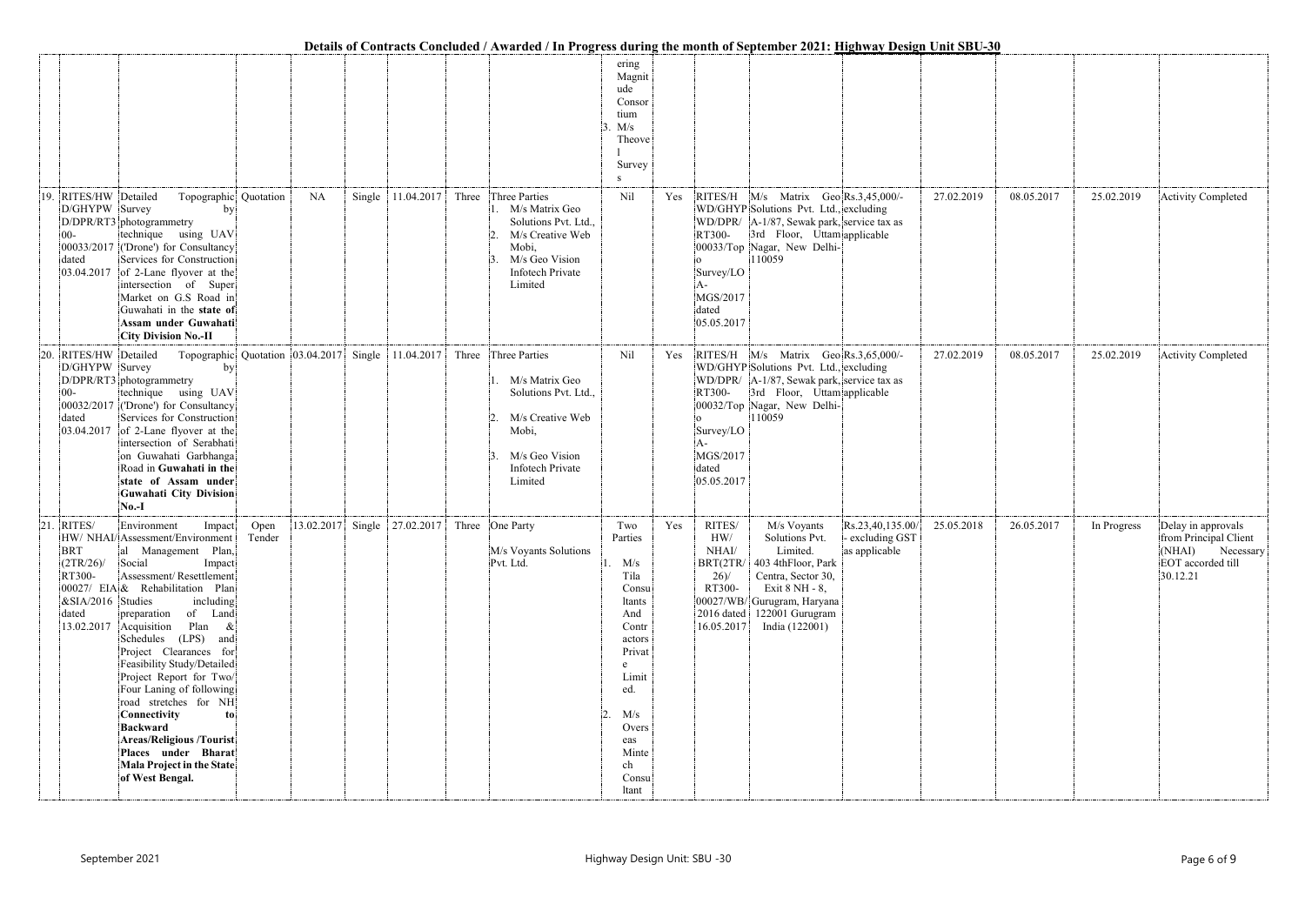|     |                                                                                 |                                                                                                                                                                                                                                                                                                                                                                                                                                                                                                                                                            |      |           |        |                                                     | Details of Contracts Concluded / Awarded / In Progress during the month of September 2021: Highway Design Unit SBU-30                                               |                                                                                                                                                                              |     |                                                                                  |                                                                                                                                                                                                       |                                                      |            |            |             |                                                                                                  |
|-----|---------------------------------------------------------------------------------|------------------------------------------------------------------------------------------------------------------------------------------------------------------------------------------------------------------------------------------------------------------------------------------------------------------------------------------------------------------------------------------------------------------------------------------------------------------------------------------------------------------------------------------------------------|------|-----------|--------|-----------------------------------------------------|---------------------------------------------------------------------------------------------------------------------------------------------------------------------|------------------------------------------------------------------------------------------------------------------------------------------------------------------------------|-----|----------------------------------------------------------------------------------|-------------------------------------------------------------------------------------------------------------------------------------------------------------------------------------------------------|------------------------------------------------------|------------|------------|-------------|--------------------------------------------------------------------------------------------------|
|     |                                                                                 |                                                                                                                                                                                                                                                                                                                                                                                                                                                                                                                                                            |      |           |        |                                                     |                                                                                                                                                                     | ering<br>Magnit<br>ude<br>Consor<br>tium<br>M/s<br>Theove<br>Survey<br>- S                                                                                                   |     |                                                                                  |                                                                                                                                                                                                       |                                                      |            |            |             |                                                                                                  |
|     | 19. RITES/HW Detailed<br>D/GHYPW Survey<br>$00 -$<br>dated                      | Topographic Quotation<br>by<br>D/DPR/RT3 photogrammetry<br>technique using UAV<br>00033/2017 ('Drone') for Consultancy<br>Services for Construction<br>$ 03.04.2017 $ of 2-Lane flyover at the<br>intersection of Super<br>Market on G.S Road in<br>Guwahati in the state of<br>Assam under Guwahati<br><b>City Division No.-II</b>                                                                                                                                                                                                                        |      | <b>NA</b> | Single | 11.04.2017                                          | Three Three Parties<br>M/s Matrix Geo<br>Solutions Pvt. Ltd.,<br>M/s Creative Web<br>Mobi,<br>M/s Geo Vision<br><b>Infotech Private</b><br>Limited                  | Nil                                                                                                                                                                          | Yes | RT300-<br>Survey/LO<br>MGS/2017<br>dated<br>05.05.2017                           | RITES/H M/s Matrix Geo Rs.3,45,000/-<br>WD/GHYP Solutions Pvt. Ltd., excluding<br>WD/DPR/  A-1/87, Sewak park, service tax as<br>3rd Floor, Uttam applicable<br>00033/Top Nagar, New Delhi-<br>110059 |                                                      | 27.02.2019 | 08.05.2017 | 25.02.2019  | <b>Activity Completed</b>                                                                        |
| 20. | RITES/HW Detailed<br>D/GHYPW Survey<br>$00 -$<br>dated<br>03.04.2017            | by<br>D/DPR/RT3 photogrammetry<br>technique using UAV<br>00032/2017 ('Drone') for Consultancy<br>Services for Construction<br>of 2-Lane flyover at the<br>intersection of Serabhati<br>on Guwahati Garbhanga<br>Road in Guwahati in the<br>state of Assam under<br>Guwahati City Division<br>$No.-I$                                                                                                                                                                                                                                                       |      |           |        | Topographic Quotation 03.04.2017 Single 11.04.2017  | Three Three Parties<br>M/s Matrix Geo<br>Solutions Pvt. Ltd.,<br>M/s Creative Web<br>$\mathcal{D}$<br>Mobi,<br>M/s Geo Vision<br><b>Infotech Private</b><br>Limited | Nil                                                                                                                                                                          | Yes | RT300-<br>Survey/LO<br>MGS/2017<br>dated<br>05.05.2017                           | RITES/H M/s Matrix Geo Rs.3,65,000/-<br>WD/GHYP Solutions Pvt. Ltd., excluding<br>WD/DPR/  A-1/87, Sewak park, service tax as<br>3rd Floor, Uttam applicable<br>00032/Top Nagar, New Delhi-<br>110059 |                                                      | 27.02.2019 | 08.05.2017 | 25.02.2019  | <b>Activity Completed</b>                                                                        |
| 21. | RITES/<br><b>BRT</b><br>$(2TR/26)$ /<br>RT300-<br>$&$ SIA/2016 Studies<br>dated | Environment<br>Impact<br>HW/ NHAI/ Assessment/Environment Tender<br>al Management Plan,<br>Social<br>Impact<br>Assessment/Resettlement<br>00027/ EIA & Rehabilitation Plan<br>including<br>preparation of Land<br>13.02.2017 Acquisition Plan &<br>Schedules (LPS) and<br>Project Clearances for<br>Feasibility Study/Detailed<br>Project Report for Two/<br>Four Laning of following<br>road stretches for NH<br>Connectivity<br>to<br>Backward<br><b>Areas/Religious /Tourist</b><br>Places under Bharat<br>Mala Project in the State<br>of West Bengal. | Open |           |        | 13.02.2017  Single   27.02.2017   Three   One Party | M/s Voyants Solutions<br>Pvt. Ltd.                                                                                                                                  | Two<br>Parties<br>$1.$ M/s<br>Tila<br>Consu<br>ltants<br>And<br>Contr<br>actors<br>Privat<br>e<br>Limit<br>ed.<br>M/s<br>2.<br>Overs<br>eas<br>Minte<br>ch<br>Consu<br>ltant | Yes | RITES/<br>HW/<br>$\mathrm{NHAl}/$<br>26/<br>RT300-<br>$2016$ dated<br>16.05.2017 | M/s Voyants<br>Solutions Pvt.<br>Limited.<br>BRT(2TR/ 403 4thFloor, Park<br>Centra, Sector 30,<br>Exit 8 NH - 8,<br>00027/WB/ Gurugram, Haryana<br>122001 Gurugram<br>India (122001)                  | Rs.23,40,135.00/<br>- excluding GST<br>as applicable | 25.05.2018 | 26.05.2017 | In Progress | Delay in approvals<br>from Principal Client<br>(NHAI) Necessary<br>EOT accorded till<br>30.12.21 |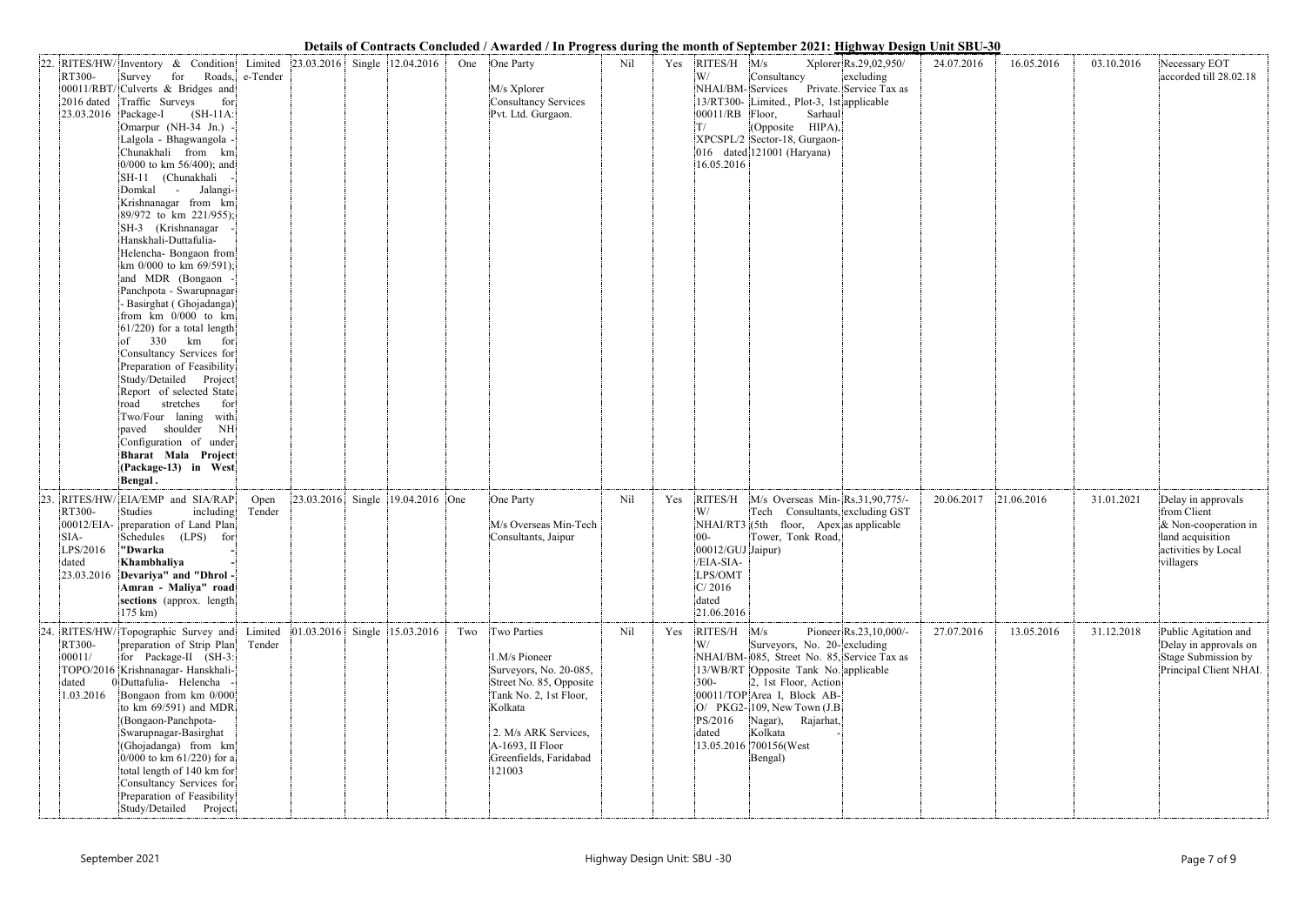|     |                                              |                                                                                                                                                                                                                                                                                                                                                                                                                                                                                                                                                                                                                                                                                                                                                                                                                                                                                            |                            |            |                                      |     | Details of Contracts Concluded / Awarded / In Progress during the month of September 2021: <u>Highway Design Unit SBU-30</u>                                                                           |     |     |                                                                                      |                                                                                                                                                                                                                                                                                 |                                                               |            |            |            |                                                                                                                      |
|-----|----------------------------------------------|--------------------------------------------------------------------------------------------------------------------------------------------------------------------------------------------------------------------------------------------------------------------------------------------------------------------------------------------------------------------------------------------------------------------------------------------------------------------------------------------------------------------------------------------------------------------------------------------------------------------------------------------------------------------------------------------------------------------------------------------------------------------------------------------------------------------------------------------------------------------------------------------|----------------------------|------------|--------------------------------------|-----|--------------------------------------------------------------------------------------------------------------------------------------------------------------------------------------------------------|-----|-----|--------------------------------------------------------------------------------------|---------------------------------------------------------------------------------------------------------------------------------------------------------------------------------------------------------------------------------------------------------------------------------|---------------------------------------------------------------|------------|------------|------------|----------------------------------------------------------------------------------------------------------------------|
|     | RT300-<br>2016 dated<br>23.03.2016 Package-I | 22. RITES/HW/Inventory & Condition<br>Survey<br>for<br>00011/RBT/ Culverts & Bridges and<br>Traffic Surveys<br>for<br>$(SH-11A)$<br>Omarpur (NH-34 Jn.)<br>Lalgola - Bhagwangola -<br>Chunakhali from km<br>0/000 to km 56/400); and<br>SH-11 (Chunakhali<br>Domkal -<br>Jalangi-<br>Krishnanagar from km<br>89/972 to km 221/955);<br>SH-3 (Krishnanagar<br>Hanskhali-Duttafulia-<br>Helencha- Bongaon from<br>km 0/000 to km 69/591);<br>and MDR (Bongaon<br>Panchpota - Swarupnagar<br>- Basirghat (Ghojadanga)<br>from km 0/000 to km<br>$61/220$ ) for a total length<br>330<br>km<br>for<br>of<br>Consultancy Services for<br>Preparation of Feasibility<br>Study/Detailed Project<br>Report of selected State<br>stretches<br>road<br>for<br>Two/Four laning<br>with<br>shoulder<br>NH<br>paved<br>Configuration of under<br>Bharat Mala Project<br>(Package-13) in West<br>Bengal. | Limited<br>Roads, e-Tender |            | $ 23.03.2016 $ Single $ 12.04.2016 $ |     | One One Party<br>M/s Xplorer<br>Consultancy Services<br>Pvt. Ltd. Gurgaon.                                                                                                                             | Nil | Yes | $RITES/H$ $M/s$<br>W/<br>NHAI/BM-Services<br>00011/RB Floor,<br>T/<br>16.05.2016     | Consultancy<br>13/RT300- Limited., Plot-3, 1st applicable<br>Sarhaul<br>(Opposite HIPA),<br>XPCSPL/2 Sector-18, Gurgaon-<br>016 dated 121001 (Haryana)                                                                                                                          | Xplorer Rs.29,02,950/<br>excluding<br>Private. Service Tax as | 24.07.2016 | 16.05.2016 | 03.10.2016 | Necessary EOT<br>accorded till 28.02.18                                                                              |
| 23. | RT300-<br>SIA-<br>LPS/2016<br>dated          | RITES/HW/EIA/EMP and SIA/RAP<br>Studies<br>including<br>00012/EIA- preparation of Land Plan<br>Schedules (LPS) for<br>"Dwarka<br>Khambhaliya<br>23.03.2016 Devariya" and "Dhrol -<br>Amran - Maliya" road<br>sections (approx. length)<br>$175 \text{ km}$                                                                                                                                                                                                                                                                                                                                                                                                                                                                                                                                                                                                                                 | Open<br>Tender             |            | 23.03.2016 Single 19.04.2016 One     |     | One Party<br>M/s Overseas Min-Tech<br>Consultants, Jaipur                                                                                                                                              | Nil | Yes | $ 00-$<br>00012/GUJ Jaipur)<br>/EIA-SIA-<br>LPS/OMT<br>C/2016<br>dated<br>21.06.2016 | RITES/H M/s Overseas Min-Rs.31,90,775/-<br>Tech Consultants, excluding GST<br>$NHAI/RT3$ (5th floor, Apex as applicable<br>Tower, Tonk Road,                                                                                                                                    |                                                               | 20.06.2017 | 21.06.2016 | 31.01.2021 | Delay in approvals<br>from Client<br>$\&$ Non-cooperation in<br>land acquisition<br>activities by Local<br>villagers |
|     | RT300-<br>00011/<br>dated<br>1.03.2016       | 24. RITES/HW/ Topographic Survey and<br>preparation of Strip Plan<br>for Package-II (SH-3:<br>TOPO/2016 Krishnanagar- Hanskhali-<br>0 Duttafulia- Helencha<br>Bongaon from km 0/000<br>to km 69/591) and MDR<br>(Bongaon-Panchpota-<br>Swarupnagar-Basirghat<br>(Ghojadanga) from km<br>$0/000$ to km 61/220) for a<br>total length of 140 km for<br>Consultancy Services for<br>Preparation of Feasibility<br>Study/Detailed Project                                                                                                                                                                                                                                                                                                                                                                                                                                                      | Limited<br>Tender          | 01.03.2016 | Single 15.03.2016                    | Two | Two Parties<br>1.M/s Pioneer<br>Surveyors, No. 20-085,<br>Street No. 85, Opposite<br>Tank No. 2, 1st Floor,<br>Kolkata<br>2. M/s ARK Services,<br>A-1693, II Floor<br>Greenfields, Faridabad<br>121003 | Nil | Yes | $RITES/H$ $M/s$<br>W/<br>$300 -$<br>PS/2016<br>dated                                 | Surveyors, No. 20-excluding<br>NHAI/BM-085, Street No. 85, Service Tax as<br>13/WB/RT Opposite Tank No. applicable<br>2, 1st Floor, Action<br>00011/TOP Area I, Block AB-<br>$O/$ PKG2-109, New Town (J.B)<br>Nagar), Rajarhat,<br>Kolkata<br>13.05.2016 700156(West<br>Bengal) | Pioneer Rs.23,10,000/-                                        | 27.07.2016 | 13.05.2016 | 31.12.2018 | Public Agitation and<br>Delay in approvals on<br>Stage Submission by<br>Principal Client NHAI.                       |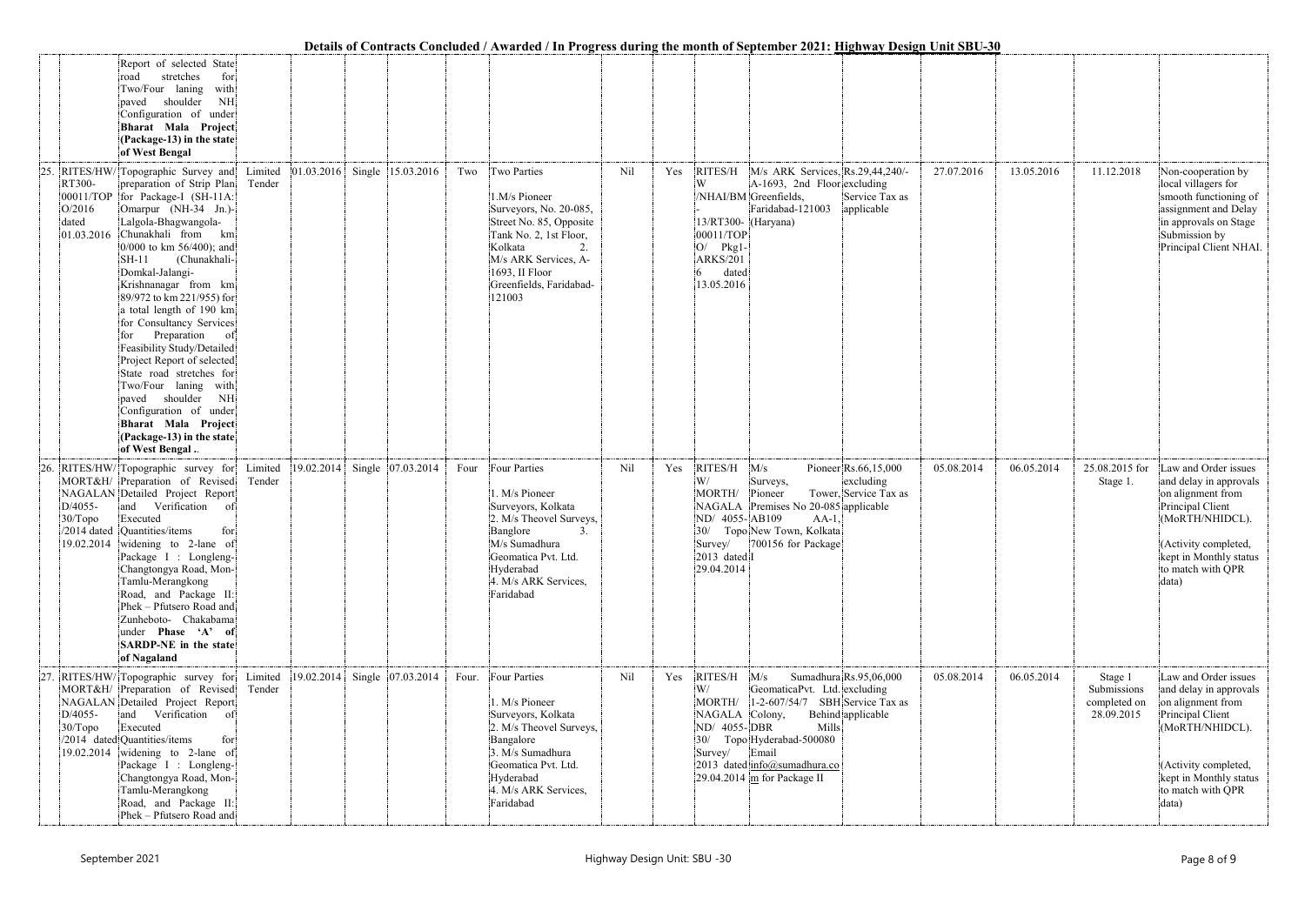|     |                           |                                                                                                                                                                                                                                                                                                                                                                                                                                                                                                                                                                                                        |                   |            |                   |       |                                                                                                                                                                                             |     |     | Details of Contracts Concluded / Awarded / In Progress during the month of September 2021; Highway Design Unit SDU-50                                                                                                                                                                                                   |            |                                                      |                                                                                                                                                                                            |
|-----|---------------------------|--------------------------------------------------------------------------------------------------------------------------------------------------------------------------------------------------------------------------------------------------------------------------------------------------------------------------------------------------------------------------------------------------------------------------------------------------------------------------------------------------------------------------------------------------------------------------------------------------------|-------------------|------------|-------------------|-------|---------------------------------------------------------------------------------------------------------------------------------------------------------------------------------------------|-----|-----|-------------------------------------------------------------------------------------------------------------------------------------------------------------------------------------------------------------------------------------------------------------------------------------------------------------------------|------------|------------------------------------------------------|--------------------------------------------------------------------------------------------------------------------------------------------------------------------------------------------|
| 25. |                           | Report of selected State<br>stretches<br>for<br>road<br>Two/Four laning<br>with<br>shoulder<br>NH<br>paved<br>Configuration of under<br>Bharat Mala Project<br>(Package-13) in the state<br>of West Bengal<br>RITES/HW/Topographic Survey and                                                                                                                                                                                                                                                                                                                                                          | Limited           | 01.03.2016 | Single 15.03.2016 | Two   | Two Parties                                                                                                                                                                                 | Nil | Yes | RITES/H M/s ARK Services, Rs.29,44,240/-<br>27.07.2016                                                                                                                                                                                                                                                                  | 13.05.2016 | 11.12.2018                                           | Non-cooperation by                                                                                                                                                                         |
|     | RT300-<br>O/2016<br>dated | preparation of Strip Plan<br>00011/TOP for Package-I (SH-11A:<br>Omarpur (NH-34 Jn.)-<br>Lalgola-Bhagwangola-<br>01.03.2016 Chunakhali from km<br>$0/000$ to km 56/400); and<br>(Chunakhali-<br>$SH-11$<br>Domkal-Jalangi-<br>Krishnanagar from km<br>89/972 to km 221/955) for<br>a total length of 190 km<br>for Consultancy Services<br>Preparation of<br>for<br>Feasibility Study/Detailed<br>Project Report of selected<br>State road stretches for<br>Two/Four laning with<br>paved shoulder NH<br>Configuration of under<br>Bharat Mala Project<br>(Package-13) in the state<br>of West Bengal. | Tender            |            |                   |       | 1.M/s Pioneer<br>Surveyors, No. 20-085,<br>Street No. 85, Opposite<br>Tank No. 2, 1st Floor,<br>Kolkata<br>M/s ARK Services, A-<br>1693, II Floor<br>Greenfields, Faridabad-<br>121003      |     |     | W<br>A-1693, 2nd Floor excluding<br>/NHAI/BM Greenfields,<br>Service Tax as<br>Faridabad-121003<br>applicable<br>13/RT300- (Haryana)<br>00011/TOP<br>O/<br>$Pkg1 -$<br><b>ARKS/201</b><br>dated<br>13.05.2016                                                                                                           |            |                                                      | local villagers for<br>smooth functioning of<br>assignment and Delay<br>in approvals on Stage<br>Submission by<br>Principal Client NHAI.                                                   |
| 26. | D/4055-<br>30/Topo        | RITES/HW/Topographic survey for<br>MORT&H/ Preparation of Revised<br>NAGALAN Detailed Project Report<br>and<br>Verification<br>-of<br>Executed<br>/2014 dated Quantities/items<br>for<br>19.02.2014 widening to 2-lane of<br>Package I : Longleng-<br>Changtongya Road, Mon-<br>Tamlu-Merangkong<br>Road, and Package II:<br>Phek - Pfutsero Road and<br>Zunheboto- Chakabama<br>under Phase 'A' of<br>SARDP-NE in the state<br>of Nagaland                                                                                                                                                            | Limited<br>Tender | 19.02.2014 | Single 07.03.2014 | Four  | Four Parties<br>1. M/s Pioneer<br>Surveyors, Kolkata<br>2. M/s Theovel Surveys,<br>Banglore<br>3.<br>M/s Sumadhura<br>Geomatica Pvt. Ltd.<br>Hyderabad<br>4. M/s ARK Services,<br>Faridabad | Nil | Yes | RITES/H<br>M/s<br>Pioneer Rs.66,15,000<br>05.08.2014<br>W/<br>excluding<br>Surveys,<br>Tower, Service Tax as<br>MORTH/<br>Pioneer<br>Premises No 20-085 applicable<br><b>NAGALA</b><br>ND/ 4055-AB109<br>$AA-1$ ,<br>Topo New Town, Kolkata<br>30/<br>700156 for Package<br>Survey/<br>2013 dated I<br>29.04.2014       | 06.05.2014 | 25.08.2015 for<br>Stage 1.                           | Law and Order issues<br>and delay in approvals<br>on alignment from<br>Principal Client<br>(MoRTH/NHIDCL).<br>(Activity completed,<br>kept in Monthly status<br>to match with QPR<br>data) |
|     | D/4055-<br>$30/T$ opo     | RITES/HW/ Topographic survey for<br>MORT&H/ Preparation of Revised<br>NAGALAN Detailed Project Report<br>and Verification of<br>Executed<br>/2014 dated Quantities/items<br>for<br>19.02.2014 widening to 2-lane of<br>Package I : Longleng-<br>Changtongya Road, Mon-<br>Tamlu-Merangkong<br>Road, and Package II:<br>Phek - Pfutsero Road and                                                                                                                                                                                                                                                        | Limited<br>Tender | 19.02.2014 | Single 07.03.2014 | Four. | Four Parties<br>1. M/s Pioneer<br>Surveyors, Kolkata<br>2. M/s Theovel Surveys,<br>Bangalore<br>3. M/s Sumadhura<br>Geomatica Pvt. Ltd.<br>Hyderabad<br>4. M/s ARK Services,<br>Faridabad   | Nil | Yes | $RITES/H$ $M/s$<br>Sumadhura Rs.95,06,000<br>05.08.2014<br>W/<br>GeomaticaPvt. Ltd. excluding<br>MORTH/ 1-2-607/54/7 SBH Service Tax as<br>Behind applicable<br>NAGALA Colony,<br>ND/ 4055-DBR<br>Mills<br>Topo Hyderabad-500080<br>30/<br>Survey/ Email<br>2013 dated info@sumadhura.co<br>29.04.2014 m for Package II | 06.05.2014 | Stage 1<br>Submissions<br>completed on<br>28.09.2015 | Law and Order issues<br>and delay in approvals<br>on alignment from<br>Principal Client<br>(MoRTH/NHIDCL).<br>(Activity completed,<br>kept in Monthly status<br>to match with QPR<br>data) |